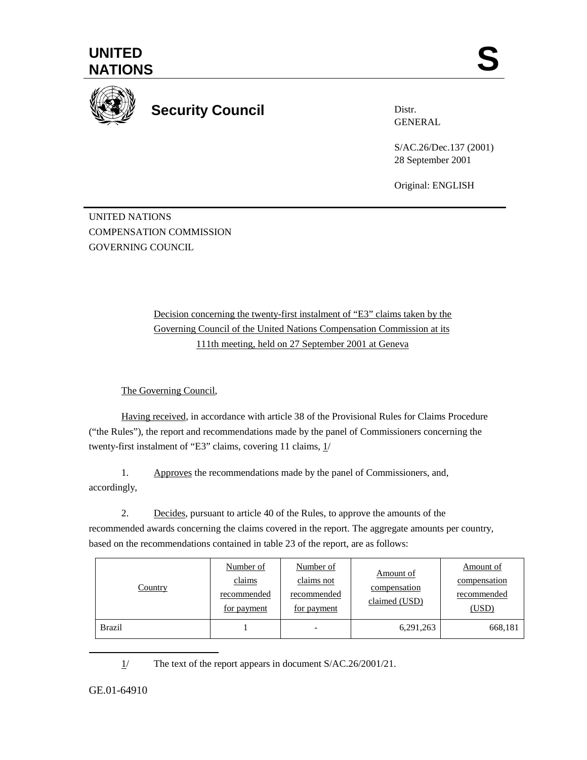



**Security Council** 

Distr. GENERAL

S/AC.26/Dec.137 (2001) 28 September 2001

Original: ENGLISH

UNITED NATIONS COMPENSATION COMMISSION GOVERNING COUNCIL

> Decision concerning the twenty-first instalment of "E3" claims taken by the Governing Council of the United Nations Compensation Commission at its 111th meeting, held on 27 September 2001 at Geneva

The Governing Council,

Having received, in accordance with article 38 of the Provisional Rules for Claims Procedure ("the Rules"), the report and recommendations made by the panel of Commissioners concerning the twenty-first instalment of "E3" claims, covering 11 claims, 1/

1. Approves the recommendations made by the panel of Commissioners, and, accordingly,

2. Decides, pursuant to article 40 of the Rules, to approve the amounts of the recommended awards concerning the claims covered in the report. The aggregate amounts per country, based on the recommendations contained in table 23 of the report, are as follows:

| Country       | Number of<br>claims<br>recommended<br>for payment | Number of<br>claims not<br>recommended<br>for payment | Amount of<br>compensation<br>claimed (USD) | Amount of<br>compensation<br>recommended<br>(USD) |
|---------------|---------------------------------------------------|-------------------------------------------------------|--------------------------------------------|---------------------------------------------------|
| <b>Brazil</b> |                                                   |                                                       | 6,291,263                                  | 668,181                                           |

1/ The text of the report appears in document S/AC.26/2001/21.

GE.01-64910

 $\overline{a}$